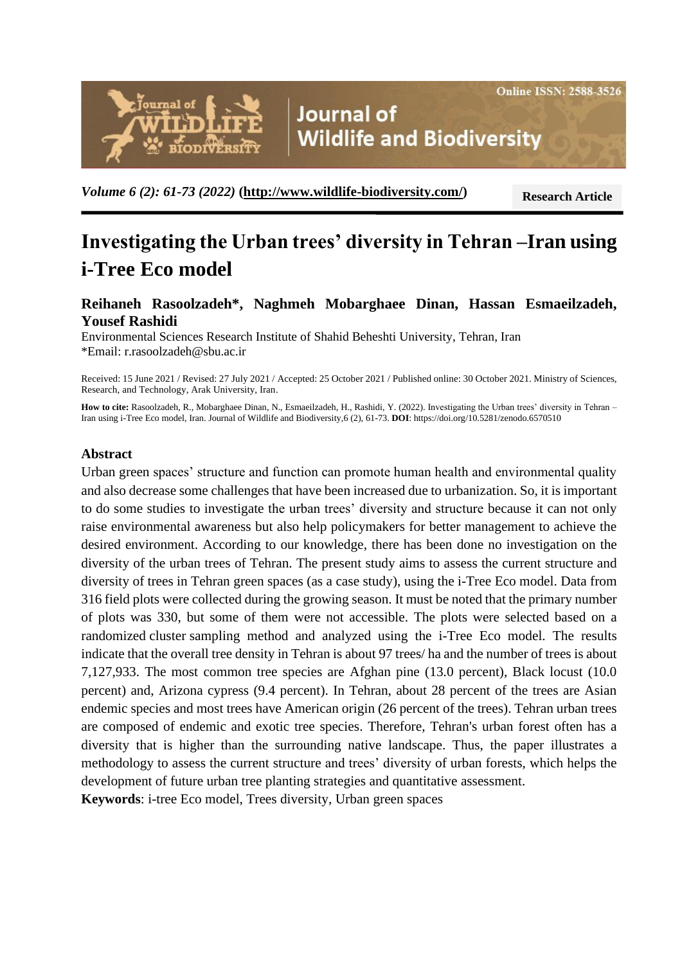



*Volume 6 (2): 61-73 (2022)* **[\(http://www.wildlife-biodiversity.com/\)](http://www.wildlife-biodiversity.com/)**

**Research Article**

# **Investigating the Urban trees' diversity in Tehran –Iran using i-Tree Eco model**

# **Reihaneh Rasoolzadeh\*, Naghmeh Mobarghaee Dinan, Hassan Esmaeilzadeh, Yousef Rashidi**

Environmental Sciences Research Institute of Shahid Beheshti University, Tehran, Iran \*Email: [r.rasoolzadeh@sbu.ac.ir](mailto:r.rasoolzadeh@sbu.ac.ir)

Received: 15 June 2021 / Revised: 27 July 2021 / Accepted: 25 October 2021 / Published online: 30 October 2021. Ministry of Sciences, Research, and Technology, Arak University, Iran.

**How to cite:** Rasoolzadeh, R., Mobarghaee Dinan, N., Esmaeilzadeh, H., Rashidi, Y. (2022). Investigating the Urban trees' diversity in Tehran – Iran using i-Tree Eco model, Iran. Journal of Wildlife and Biodiversity,6 (2), 61-73. **DOI**: https://doi.org/10.5281/zenodo.6570510

## **Abstract**

Urban green spaces' structure and function can promote human health and environmental quality and also decrease some challenges that have been increased due to urbanization. So, it is important to do some studies to investigate the urban trees' diversity and structure because it can not only raise environmental awareness but also help policymakers for better management to achieve the desired environment. According to our knowledge, there has been done no investigation on the diversity of the urban trees of Tehran. The present study aims to assess the current structure and diversity of trees in Tehran green spaces (as a case study), using the i-Tree Eco model. Data from 316 field plots were collected during the growing season. It must be noted that the primary number of plots was 330, but some of them were not accessible. The plots were selected based on a randomized cluster sampling method and analyzed using the i-Tree Eco model. The results indicate that the overall tree density in Tehran is about 97 trees/ ha and the number of trees is about 7,127,933. The most common tree species are Afghan pine (13.0 percent), Black locust (10.0 percent) and, Arizona cypress (9.4 percent). In Tehran, about 28 percent of the trees are Asian endemic species and most trees have American origin (26 percent of the trees). Tehran urban trees are composed of endemic and exotic tree species. Therefore, Tehran's urban forest often has a diversity that is higher than the surrounding native landscape. Thus, the paper illustrates a methodology to assess the current structure and trees' diversity of urban forests, which helps the development of future urban tree planting strategies and quantitative assessment.

**Keywords**: i-tree Eco model, Trees diversity, Urban green spaces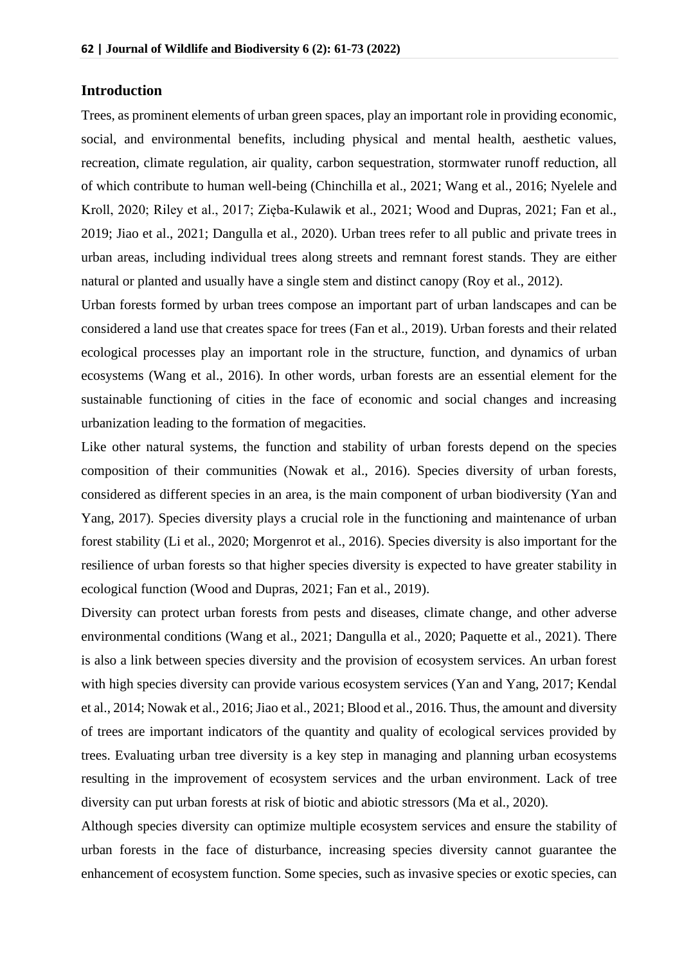## **Introduction**

Trees, as prominent elements of urban green spaces, play an important role in providing economic, social, and environmental benefits, including physical and mental health, aesthetic values, recreation, climate regulation, air quality, carbon sequestration, stormwater runoff reduction, all of which contribute to human well-being (Chinchilla et al., 2021; Wang et al., 2016; Nyelele and Kroll, 2020; Riley et al., 2017; Zięba-Kulawik et al., 2021; Wood and Dupras, 2021; Fan et al., 2019; Jiao et al., 2021; Dangulla et al., 2020). Urban trees refer to all public and private trees in urban areas, including individual trees along streets and remnant forest stands. They are either natural or planted and usually have a single stem and distinct canopy (Roy et al., 2012).

Urban forests formed by urban trees compose an important part of urban landscapes and can be considered a land use that creates space for trees (Fan et al., 2019). Urban forests and their related ecological processes play an important role in the structure, function, and dynamics of urban ecosystems (Wang et al., 2016). In other words, urban forests are an essential element for the sustainable functioning of cities in the face of economic and social changes and increasing urbanization leading to the formation of megacities.

Like other natural systems, the function and stability of urban forests depend on the species composition of their communities (Nowak et al., 2016). Species diversity of urban forests, considered as different species in an area, is the main component of urban biodiversity (Yan and Yang, 2017). Species diversity plays a crucial role in the functioning and maintenance of urban forest stability (Li et al., 2020; Morgenrot et al., 2016). Species diversity is also important for the resilience of urban forests so that higher species diversity is expected to have greater stability in ecological function (Wood and Dupras, 2021; Fan et al., 2019).

Diversity can protect urban forests from pests and diseases, climate change, and other adverse environmental conditions (Wang et al., 2021; Dangulla et al., 2020; Paquette et al., 2021). There is also a link between species diversity and the provision of ecosystem services. An urban forest with high species diversity can provide various ecosystem services (Yan and Yang, 2017; Kendal et al., 2014; Nowak et al., 2016; Jiao et al., 2021; Blood et al., 2016. Thus, the amount and diversity of trees are important indicators of the quantity and quality of ecological services provided by trees. Evaluating urban tree diversity is a key step in managing and planning urban ecosystems resulting in the improvement of ecosystem services and the urban environment. Lack of tree diversity can put urban forests at risk of biotic and abiotic stressors (Ma et al., 2020).

Although species diversity can optimize multiple ecosystem services and ensure the stability of urban forests in the face of disturbance, increasing species diversity cannot guarantee the enhancement of ecosystem function. Some species, such as invasive species or exotic species, can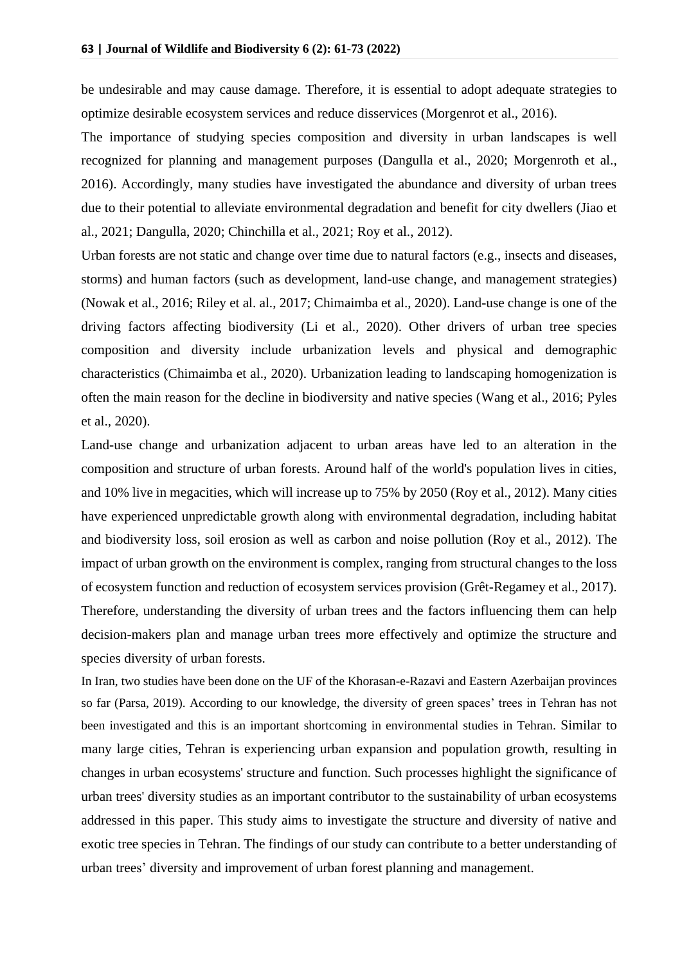be undesirable and may cause damage. Therefore, it is essential to adopt adequate strategies to optimize desirable ecosystem services and reduce disservices (Morgenrot et al., 2016).

The importance of studying species composition and diversity in urban landscapes is well recognized for planning and management purposes (Dangulla et al., 2020; Morgenroth et al., 2016). Accordingly, many studies have investigated the abundance and diversity of urban trees due to their potential to alleviate environmental degradation and benefit for city dwellers (Jiao et al., 2021; Dangulla, 2020; Chinchilla et al., 2021; Roy et al., 2012).

Urban forests are not static and change over time due to natural factors (e.g., insects and diseases, storms) and human factors (such as development, land-use change, and management strategies) (Nowak et al., 2016; Riley et al. al., 2017; Chimaimba et al., 2020). Land-use change is one of the driving factors affecting biodiversity (Li et al., 2020). Other drivers of urban tree species composition and diversity include urbanization levels and physical and demographic characteristics (Chimaimba et al., 2020). Urbanization leading to landscaping homogenization is often the main reason for the decline in biodiversity and native species (Wang et al., 2016; Pyles et al., 2020).

Land-use change and urbanization adjacent to urban areas have led to an alteration in the composition and structure of urban forests. Around half of the world's population lives in cities, and 10% live in megacities, which will increase up to 75% by 2050 (Roy et al., 2012). Many cities have experienced unpredictable growth along with environmental degradation, including habitat and biodiversity loss, soil erosion as well as carbon and noise pollution (Roy et al., 2012). The impact of urban growth on the environment is complex, ranging from structural changes to the loss of ecosystem function and reduction of ecosystem services provision (Grêt-Regamey et al., 2017). Therefore, understanding the diversity of urban trees and the factors influencing them can help decision-makers plan and manage urban trees more effectively and optimize the structure and species diversity of urban forests.

In Iran, two studies have been done on the UF of the Khorasan-e-Razavi and Eastern Azerbaijan provinces so far (Parsa, 2019). According to our knowledge, the diversity of green spaces' trees in Tehran has not been investigated and this is an important shortcoming in environmental studies in Tehran. Similar to many large cities, Tehran is experiencing urban expansion and population growth, resulting in changes in urban ecosystems' structure and function. Such processes highlight the significance of urban trees' diversity studies as an important contributor to the sustainability of urban ecosystems addressed in this paper. This study aims to investigate the structure and diversity of native and exotic tree species in Tehran. The findings of our study can contribute to a better understanding of urban trees' diversity and improvement of urban forest planning and management.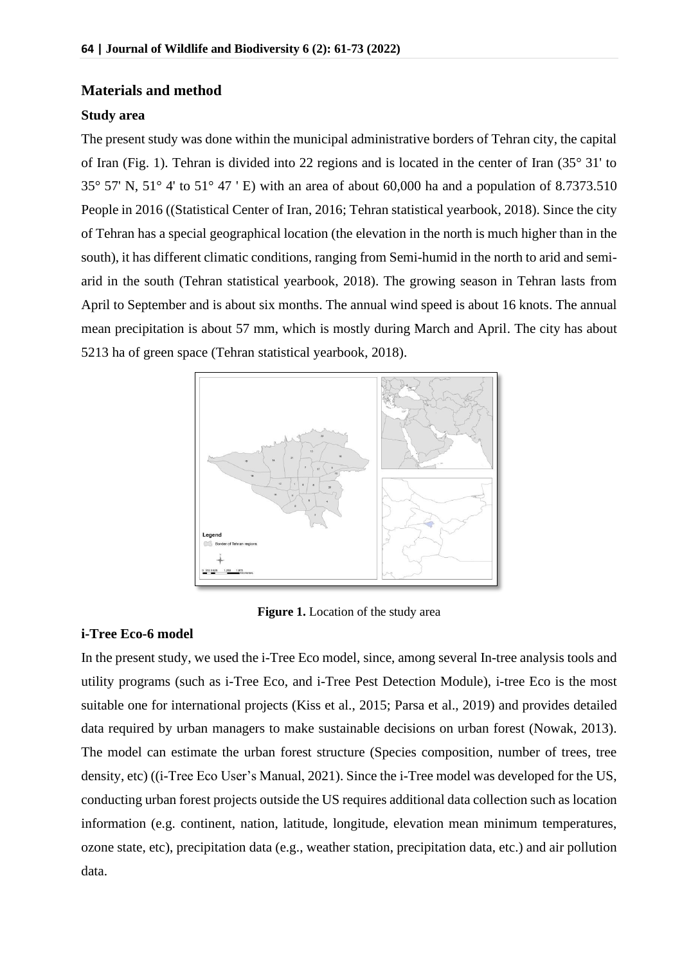## **Materials and method**

## **Study area**

The present study was done within the municipal administrative borders of Tehran city, the capital of Iran (Fig. 1). Tehran is divided into 22 regions and is located in the center of Iran (35° 31' to  $35^{\circ}$  57' N, 51° 4' to 51° 47 ' E) with an area of about 60,000 ha and a population of 8.7373.510 People in 2016 ((Statistical Center of Iran, 2016; Tehran statistical yearbook, 2018). Since the city of Tehran has a special geographical location (the elevation in the north is much higher than in the south), it has different climatic conditions, ranging from Semi-humid in the north to arid and semiarid in the south (Tehran statistical yearbook, 2018). The growing season in Tehran lasts from April to September and is about six months. The annual wind speed is about 16 knots. The annual mean precipitation is about 57 mm, which is mostly during March and April. The city has about 5213 ha of green space (Tehran statistical yearbook, 2018).



**Figure 1.** Location of the study area

# **i-Tree Eco-6 model**

In the present study, we used the i-Tree Eco model, since, among several In-tree analysis tools and utility programs (such as i-Tree Eco, and i-Tree Pest Detection Module), i-tree Eco is the most suitable one for international projects (Kiss et al., 2015; Parsa et al., 2019) and provides detailed data required by urban managers to make sustainable decisions on urban forest (Nowak, 2013). The model can estimate the urban forest structure (Species composition, number of trees, tree density, etc) ((i-Tree Eco User's Manual, 2021). Since the i-Tree model was developed for the US, conducting urban forest projects outside the US requires additional data collection such as location information (e.g. continent, nation, latitude, longitude, elevation mean minimum temperatures, ozone state, etc), precipitation data (e.g., weather station, precipitation data, etc.) and air pollution data.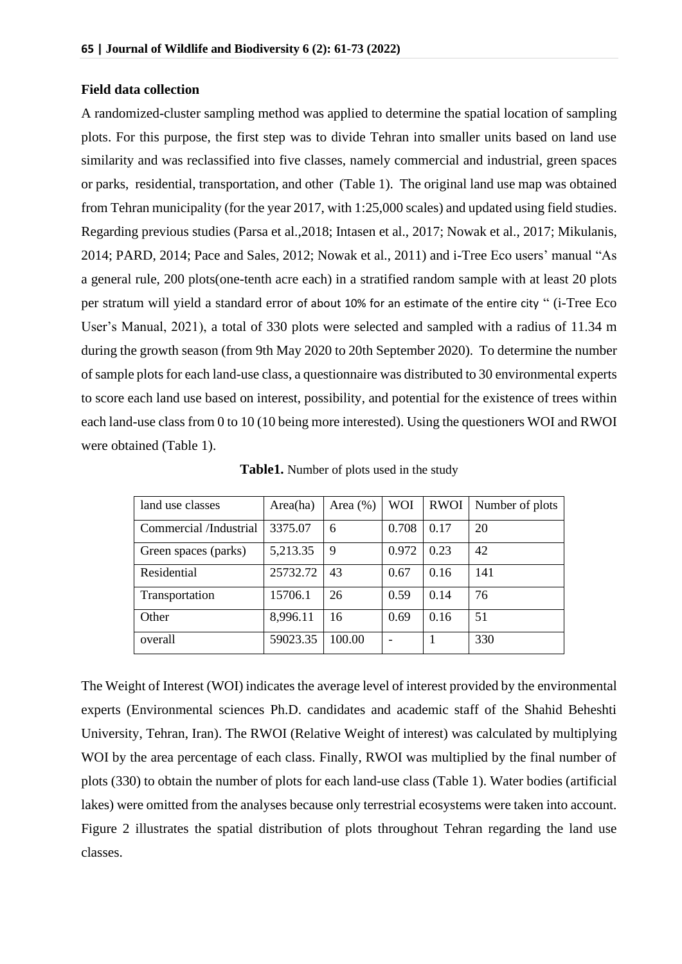#### **Field data collection**

A randomized-cluster sampling method was applied to determine the spatial location of sampling plots. For this purpose, the first step was to divide Tehran into smaller units based on land use similarity and was reclassified into five classes, namely commercial and industrial, green spaces or parks, residential, transportation, and other (Table 1). The original land use map was obtained from Tehran municipality (for the year 2017, with 1:25,000 scales) and updated using field studies. Regarding previous studies (Parsa et al.,2018; Intasen et al., 2017; Nowak et al., 2017; Mikulanis, 2014; PARD, 2014; Pace and Sales, 2012; Nowak et al., 2011) and i-Tree Eco users' manual "As a general rule, 200 plots(one-tenth acre each) in a stratified random sample with at least 20 plots per stratum will yield a standard error of about 10% for an estimate of the entire city " (i-Tree Eco User's Manual, 2021), a total of 330 plots were selected and sampled with a radius of 11.34 m during the growth season (from 9th May 2020 to 20th September 2020). To determine the number of sample plots for each land-use class, a questionnaire was distributed to 30 environmental experts to score each land use based on interest, possibility, and potential for the existence of trees within each land-use class from 0 to 10 (10 being more interested). Using the questioners WOI and RWOI were obtained (Table 1).

| land use classes       | Area(ha) | Area $(\% )$ | <b>WOI</b>               | <b>RWOI</b> | Number of plots |
|------------------------|----------|--------------|--------------------------|-------------|-----------------|
| Commercial /Industrial | 3375.07  | 6            | 0.708                    | 0.17        | 20              |
| Green spaces (parks)   | 5,213.35 | 9            | 0.972                    | 0.23        | 42              |
| Residential            | 25732.72 | 43           | 0.67                     | 0.16        | 141             |
| Transportation         | 15706.1  | 26           | 0.59                     | 0.14        | 76              |
| Other                  | 8,996.11 | 16           | 0.69                     | 0.16        | 51              |
| overall                | 59023.35 | 100.00       | $\overline{\phantom{0}}$ |             | 330             |

**Table1.** Number of plots used in the study

The Weight of Interest (WOI) indicates the average level of interest provided by the environmental experts (Environmental sciences Ph.D. candidates and academic staff of the Shahid Beheshti University, Tehran, Iran). The RWOI (Relative Weight of interest) was calculated by multiplying WOI by the area percentage of each class. Finally, RWOI was multiplied by the final number of plots (330) to obtain the number of plots for each land-use class (Table 1). Water bodies (artificial lakes) were omitted from the analyses because only terrestrial ecosystems were taken into account. Figure 2 illustrates the spatial distribution of plots throughout Tehran regarding the land use classes.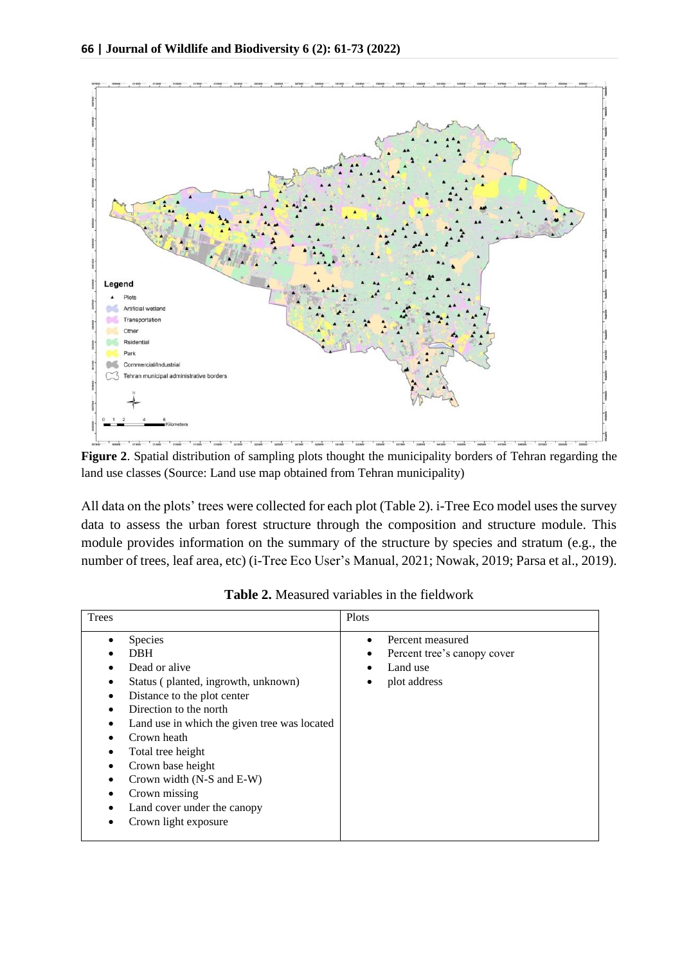

**Figure 2**. Spatial distribution of sampling plots thought the municipality borders of Tehran regarding the land use classes (Source: Land use map obtained from Tehran municipality)

All data on the plots' trees were collected for each plot (Table 2). i-Tree Eco model uses the survey data to assess the urban forest structure through the composition and structure module. This module provides information on the summary of the structure by species and stratum (e.g., the number of trees, leaf area, etc) (i-Tree Eco User's Manual, 2021; Nowak, 2019; Parsa et al., 2019).

| <b>Species</b><br>Percent measured<br><b>DBH</b><br>Percent tree's canopy cover<br>Dead or alive<br>Land use<br>Status (planted, ingrowth, unknown)<br>plot address<br>Distance to the plot center<br>Direction to the north<br>Land use in which the given tree was located<br>Crown heath<br>Total tree height<br>Crown base height<br>Crown width (N-S and E-W)<br>Crown missing<br>Land cover under the canopy | Trees |                      | Plots |  |
|--------------------------------------------------------------------------------------------------------------------------------------------------------------------------------------------------------------------------------------------------------------------------------------------------------------------------------------------------------------------------------------------------------------------|-------|----------------------|-------|--|
|                                                                                                                                                                                                                                                                                                                                                                                                                    |       | Crown light exposure |       |  |

**Table 2.** Measured variables in the fieldwork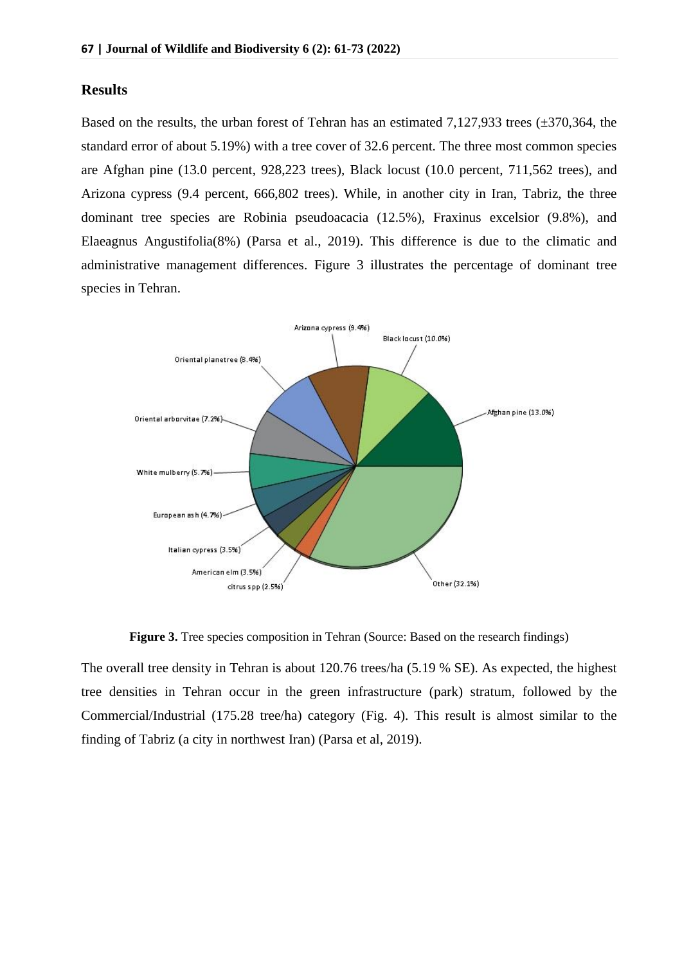## **Results**

Based on the results, the urban forest of Tehran has an estimated 7,127,933 trees ( $\pm$ 370,364, the standard error of about 5.19%) with a tree cover of 32.6 percent. The three most common species are Afghan pine (13.0 percent, 928,223 trees), Black locust (10.0 percent, 711,562 trees), and Arizona cypress (9.4 percent, 666,802 trees). While, in another city in Iran, Tabriz, the three dominant tree species are Robinia pseudoacacia (12.5%), Fraxinus excelsior (9.8%), and Elaeagnus Angustifolia(8%) (Parsa et al., 2019). This difference is due to the climatic and administrative management differences. Figure 3 illustrates the percentage of dominant tree species in Tehran.



**Figure 3.** Tree species composition in Tehran (Source: Based on the research findings)

The overall tree density in Tehran is about 120.76 trees/ha (5.19 % SE). As expected, the highest tree densities in Tehran occur in the green infrastructure (park) stratum, followed by the Commercial/Industrial (175.28 tree/ha) category (Fig. 4). This result is almost similar to the finding of Tabriz (a city in northwest Iran) (Parsa et al, 2019).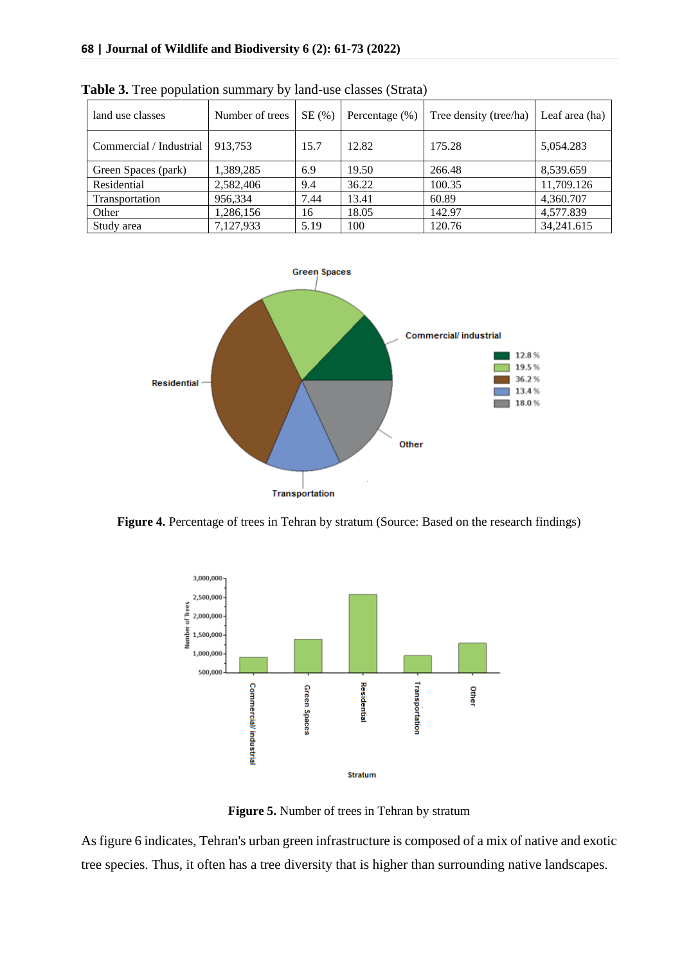| land use classes        | Number of trees | SE(%) | Percentage $(\% )$ | Tree density (tree/ha) | Leaf area (ha) |
|-------------------------|-----------------|-------|--------------------|------------------------|----------------|
| Commercial / Industrial | 913.753         | 15.7  | 12.82              | 175.28                 | 5,054.283      |
| Green Spaces (park)     | 1,389,285       | 6.9   | 19.50              | 266.48                 | 8,539.659      |
| Residential             | 2,582,406       | 9.4   | 36.22              | 100.35                 | 11,709.126     |
| Transportation          | 956,334         | 7.44  | 13.41              | 60.89                  | 4,360.707      |
| Other                   | 1,286,156       | 16    | 18.05              | 142.97                 | 4,577.839      |
| Study area              | 7,127,933       | 5.19  | 100                | 120.76                 | 34,241.615     |

**Table 3.** Tree population summary by land-use classes (Strata)



Figure 4. Percentage of trees in Tehran by stratum (Source: Based on the research findings)



**Figure 5.** Number of trees in Tehran by stratum

As figure 6 indicates, Tehran's urban green infrastructure is composed of a mix of native and exotic tree species. Thus, it often has a tree diversity that is higher than surrounding native landscapes.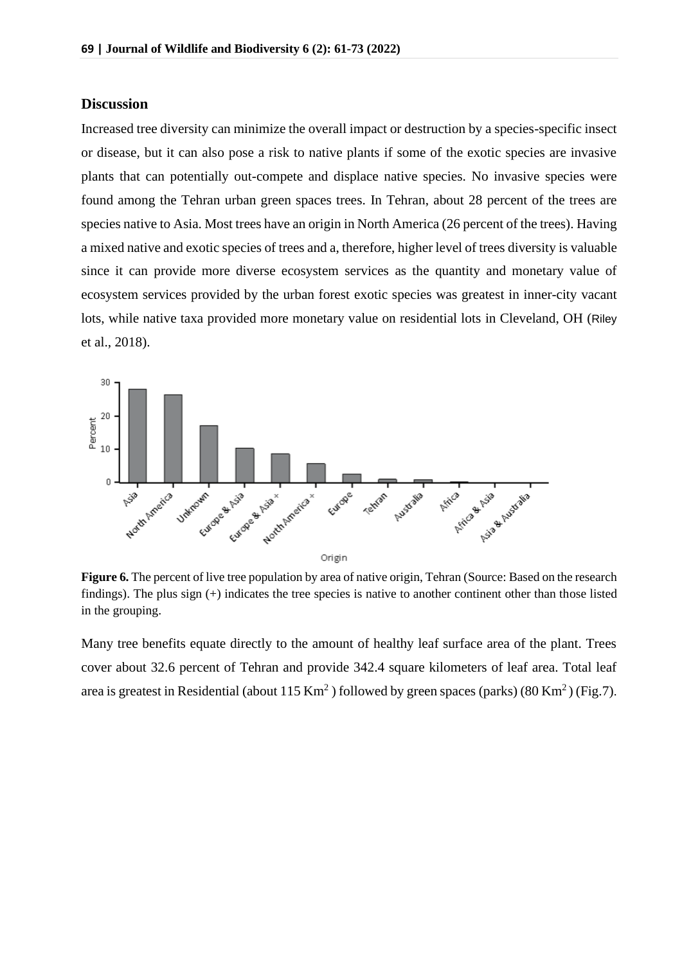#### **Discussion**

Increased tree diversity can minimize the overall impact or destruction by a species-specific insect or disease, but it can also pose a risk to native plants if some of the exotic species are invasive plants that can potentially out-compete and displace native species. No invasive species were found among the Tehran urban green spaces trees. In Tehran, about 28 percent of the trees are species native to Asia. Most trees have an origin in North America (26 percent of the trees). Having a mixed native and exotic species of trees and a, therefore, higher level of trees diversity is valuable since it can provide more diverse ecosystem services as the quantity and monetary value of ecosystem services provided by the urban forest exotic species was greatest in inner-city vacant lots, while native taxa provided more monetary value on residential lots in Cleveland, OH (Riley et al., 2018).



**Figure 6.** The percent of live tree population by area of native origin, Tehran (Source: Based on the research findings). The plus sign (+) indicates the tree species is native to another continent other than those listed in the grouping.

Many tree benefits equate directly to the amount of healthy leaf surface area of the plant. Trees cover about 32.6 percent of Tehran and provide 342.4 square kilometers of leaf area. Total leaf area is greatest in Residential (about  $115 \text{ Km}^2$ ) followed by green spaces (parks) (80 Km<sup>2</sup>) (Fig.7).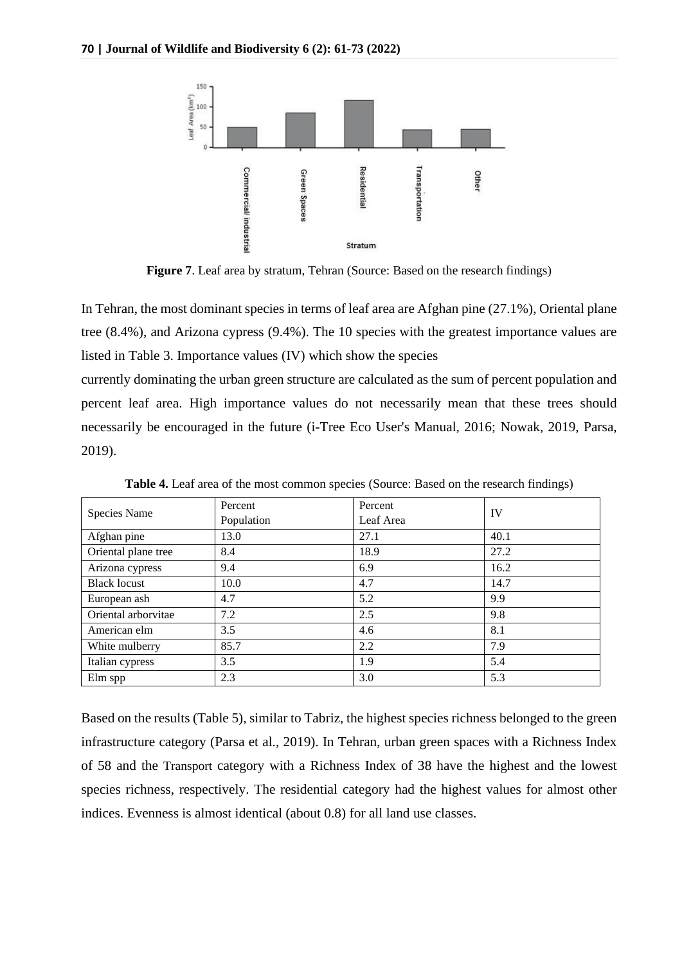

**Figure 7**. Leaf area by stratum, Tehran (Source: Based on the research findings)

In Tehran, the most dominant species in terms of leaf area are Afghan pine (27.1%), Oriental plane tree (8.4%), and Arizona cypress (9.4%). The 10 species with the greatest importance values are listed in Table 3. Importance values (IV) which show the species

currently dominating the urban green structure are calculated as the sum of percent population and percent leaf area. High importance values do not necessarily mean that these trees should necessarily be encouraged in the future (i-Tree Eco User's Manual, 2016; Nowak, 2019, Parsa, 2019).

| Species Name        | Percent    | Percent   | IV   |  |
|---------------------|------------|-----------|------|--|
|                     | Population | Leaf Area |      |  |
| Afghan pine         | 13.0       | 27.1      | 40.1 |  |
| Oriental plane tree | 8.4        | 18.9      | 27.2 |  |
| Arizona cypress     | 9.4        | 6.9       | 16.2 |  |
| <b>Black locust</b> | 10.0       | 4.7       | 14.7 |  |
| European ash        | 4.7        | 5.2       | 9.9  |  |
| Oriental arborvitae | 7.2        | 2.5       | 9.8  |  |
| American elm        | 3.5        | 4.6       | 8.1  |  |
| White mulberry      | 85.7       | 2.2       | 7.9  |  |
| Italian cypress     | 3.5        | 1.9       | 5.4  |  |
| Elm spp             | 2.3        | 3.0       | 5.3  |  |

**Table 4.** Leaf area of the most common species (Source: Based on the research findings)

Based on the results (Table 5), similar to Tabriz, the highest species richness belonged to the green infrastructure category (Parsa et al., 2019). In Tehran, urban green spaces with a Richness Index of 58 and the Transport category with a Richness Index of 38 have the highest and the lowest species richness, respectively. The residential category had the highest values for almost other indices. Evenness is almost identical (about 0.8) for all land use classes.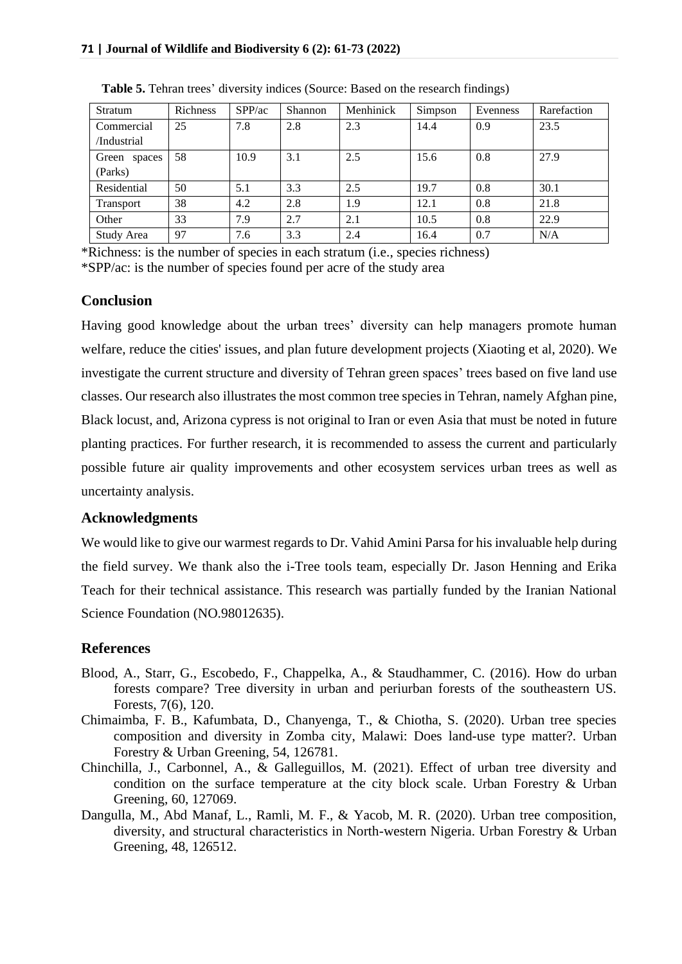| Stratum          | Richness | SPP/ac | Shannon | Menhinick | Simpson | Evenness | Rarefaction |
|------------------|----------|--------|---------|-----------|---------|----------|-------------|
| Commercial       | 25       | 7.8    | 2.8     | 2.3       | 14.4    | 0.9      | 23.5        |
| /Industrial      |          |        |         |           |         |          |             |
| Green spaces     | 58       | 10.9   | 3.1     | 2.5       | 15.6    | 0.8      | 27.9        |
| (Parks)          |          |        |         |           |         |          |             |
| Residential      | 50       | 5.1    | 3.3     | 2.5       | 19.7    | 0.8      | 30.1        |
| <b>Transport</b> | 38       | 4.2    | 2.8     | 1.9       | 12.1    | 0.8      | 21.8        |
| Other            | 33       | 7.9    | 2.7     | 2.1       | 10.5    | 0.8      | 22.9        |
| Study Area       | 97       | 7.6    | 3.3     | 2.4       | 16.4    | 0.7      | N/A         |

**Table 5.** Tehran trees' diversity indices (Source: Based on the research findings)

\*Richness: is the number of species in each stratum (i.e., species richness) \*SPP/ac: is the number of species found per acre of the study area

# **Conclusion**

Having good knowledge about the urban trees' diversity can help managers promote human welfare, reduce the cities' issues, and plan future development projects (Xiaoting et al, 2020). We investigate the current structure and diversity of Tehran green spaces' trees based on five land use classes. Our research also illustrates the most common tree species in Tehran, namely Afghan pine, Black locust, and, Arizona cypress is not original to Iran or even Asia that must be noted in future planting practices. For further research, it is recommended to assess the current and particularly possible future air quality improvements and other ecosystem services urban trees as well as uncertainty analysis.

# **Acknowledgments**

We would like to give our warmest regards to Dr. Vahid Amini Parsa for his invaluable help during the field survey. We thank also the i-Tree tools team, especially Dr. Jason Henning and Erika Teach for their technical assistance. This research was partially funded by the Iranian National Science Foundation (NO.98012635).

# **References**

- Blood, A., Starr, G., Escobedo, F., Chappelka, A., & Staudhammer, C. (2016). How do urban forests compare? Tree diversity in urban and periurban forests of the southeastern US. Forests, 7(6), 120.
- Chimaimba, F. B., Kafumbata, D., Chanyenga, T., & Chiotha, S. (2020). Urban tree species composition and diversity in Zomba city, Malawi: Does land-use type matter?. Urban Forestry & Urban Greening, 54, 126781.
- Chinchilla, J., Carbonnel, A., & Galleguillos, M. (2021). Effect of urban tree diversity and condition on the surface temperature at the city block scale. Urban Forestry & Urban Greening, 60, 127069.
- Dangulla, M., Abd Manaf, L., Ramli, M. F., & Yacob, M. R. (2020). Urban tree composition, diversity, and structural characteristics in North-western Nigeria. Urban Forestry & Urban Greening, 48, 126512.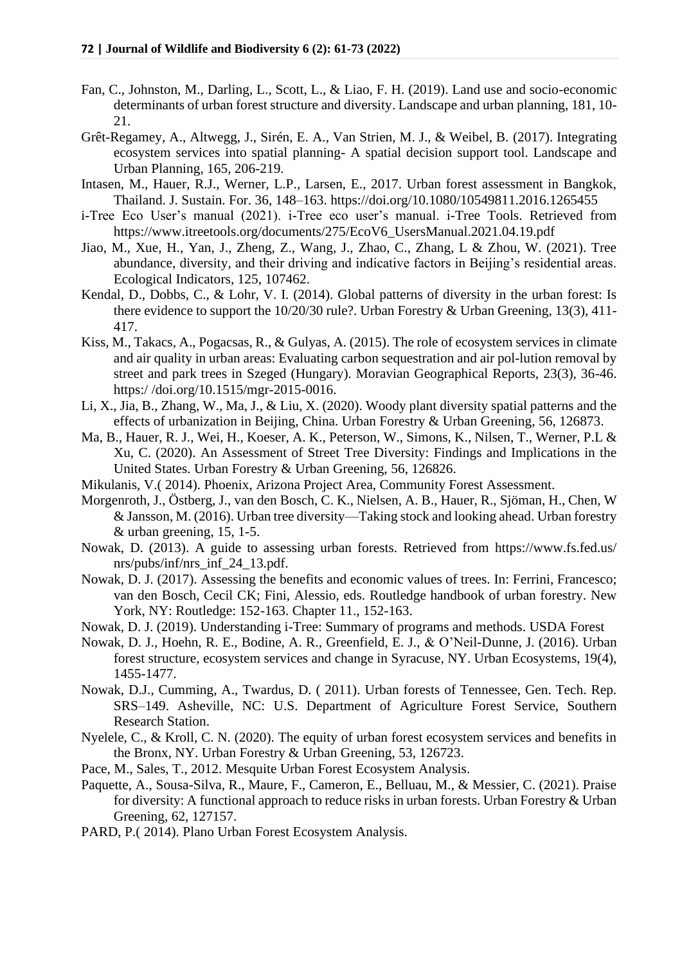- Fan, C., Johnston, M., Darling, L., Scott, L., & Liao, F. H. (2019). Land use and socio-economic determinants of urban forest structure and diversity. Landscape and urban planning, 181, 10- 21.
- Grêt-Regamey, A., Altwegg, J., Sirén, E. A., Van Strien, M. J., & Weibel, B. (2017). Integrating ecosystem services into spatial planning- A spatial decision support tool. Landscape and Urban Planning, 165, 206-219.
- Intasen, M., Hauer, R.J., Werner, L.P., Larsen, E., 2017. Urban forest assessment in Bangkok, Thailand. J. Sustain. For. 36, 148–163. https://doi.org/10.1080/10549811.2016.1265455
- i-Tree Eco User's manual (2021). i-Tree eco user's manual. i-Tree Tools. Retrieved from [https://www.itreetools.org/documents/275/EcoV6\\_UsersManual.2021.04.19.pdf](https://www.itreetools.org/documents/275/EcoV6_UsersManual.2021.04.19.pdf)
- Jiao, M., Xue, H., Yan, J., Zheng, Z., Wang, J., Zhao, C., Zhang, L & Zhou, W. (2021). Tree abundance, diversity, and their driving and indicative factors in Beijing's residential areas. Ecological Indicators, 125, 107462.
- Kendal, D., Dobbs, C., & Lohr, V. I. (2014). Global patterns of diversity in the urban forest: Is there evidence to support the 10/20/30 rule?. Urban Forestry & Urban Greening, 13(3), 411- 417.
- Kiss, M., Takacs, A., Pogacsas, R., & Gulyas, A. (2015). The role of ecosystem services in climate and air quality in urban areas: Evaluating carbon sequestration and air pol-lution removal by street and park trees in Szeged (Hungary). Moravian Geographical Reports, 23(3), 36-46. https:/ /doi.org/10.1515/mgr-2015-0016.
- Li, X., Jia, B., Zhang, W., Ma, J., & Liu, X. (2020). Woody plant diversity spatial patterns and the effects of urbanization in Beijing, China. Urban Forestry & Urban Greening, 56, 126873.
- Ma, B., Hauer, R. J., Wei, H., Koeser, A. K., Peterson, W., Simons, K., Nilsen, T., Werner, P.L & Xu, C. (2020). An Assessment of Street Tree Diversity: Findings and Implications in the United States. Urban Forestry & Urban Greening, 56, 126826.
- Mikulanis, V.( 2014). Phoenix, Arizona Project Area, Community Forest Assessment.
- Morgenroth, J., Östberg, J., van den Bosch, C. K., Nielsen, A. B., Hauer, R., Sjöman, H., Chen, W & Jansson, M. (2016). Urban tree diversity—Taking stock and looking ahead. Urban forestry & urban greening, 15, 1-5.
- Nowak, D. (2013). A guide to assessing urban forests. Retrieved from https://www.fs.fed.us/ nrs/pubs/inf/nrs\_inf\_24\_13.pdf.
- Nowak, D. J. (2017). Assessing the benefits and economic values of trees. In: Ferrini, Francesco; van den Bosch, Cecil CK; Fini, Alessio, eds. Routledge handbook of urban forestry. New York, NY: Routledge: 152-163. Chapter 11., 152-163.
- Nowak, D. J. (2019). Understanding i-Tree: Summary of programs and methods. USDA Forest
- Nowak, D. J., Hoehn, R. E., Bodine, A. R., Greenfield, E. J., & O'Neil-Dunne, J. (2016). Urban forest structure, ecosystem services and change in Syracuse, NY. Urban Ecosystems, 19(4), 1455-1477.
- Nowak, D.J., Cumming, A., Twardus, D. ( 2011). Urban forests of Tennessee, Gen. Tech. Rep. SRS–149. Asheville, NC: U.S. Department of Agriculture Forest Service, Southern Research Station.
- Nyelele, C., & Kroll, C. N. (2020). The equity of urban forest ecosystem services and benefits in the Bronx, NY. Urban Forestry & Urban Greening, 53, 126723.
- Pace, M., Sales, T., 2012. Mesquite Urban Forest Ecosystem Analysis.
- Paquette, A., Sousa-Silva, R., Maure, F., Cameron, E., Belluau, M., & Messier, C. (2021). Praise for diversity: A functional approach to reduce risks in urban forests. Urban Forestry & Urban Greening, 62, 127157.
- PARD, P.( 2014). Plano Urban Forest Ecosystem Analysis.